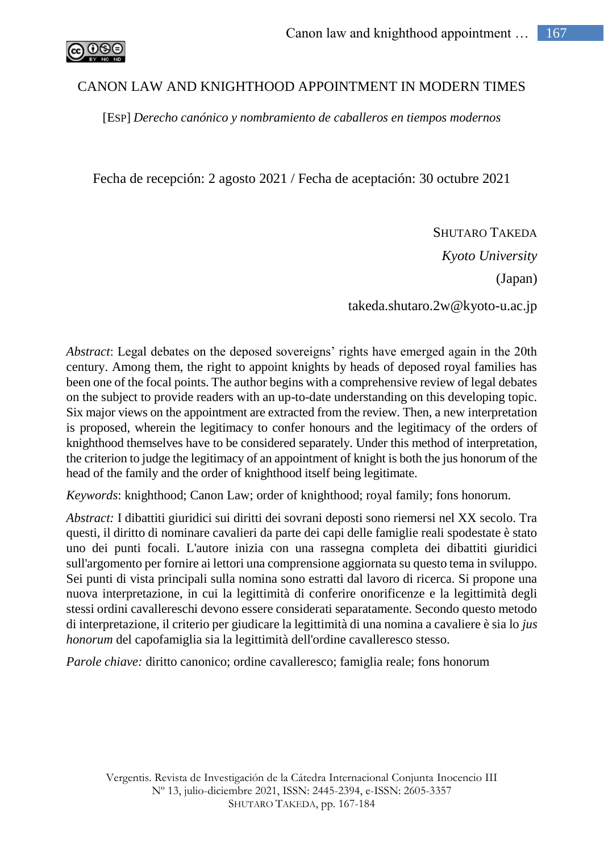

## CANON LAW AND KNIGHTHOOD APPOINTMENT IN MODERN TIMES

[ESP] *Derecho canónico y nombramiento de caballeros en tiempos modernos*

Fecha de recepción: 2 agosto 2021 / Fecha de aceptación: 30 octubre 2021

SHUTARO TAKEDA *Kyoto University* (Japan) takeda.shutaro.2w@kyoto-u.ac.jp

*Abstract*: Legal debates on the deposed sovereigns' rights have emerged again in the 20th century. Among them, the right to appoint knights by heads of deposed royal families has been one of the focal points. The author begins with a comprehensive review of legal debates on the subject to provide readers with an up-to-date understanding on this developing topic. Six major views on the appointment are extracted from the review. Then, a new interpretation is proposed, wherein the legitimacy to confer honours and the legitimacy of the orders of knighthood themselves have to be considered separately. Under this method of interpretation, the criterion to judge the legitimacy of an appointment of knight is both the jus honorum of the head of the family and the order of knighthood itself being legitimate.

*Keywords*: knighthood; Canon Law; order of knighthood; royal family; fons honorum.

*Abstract:* I dibattiti giuridici sui diritti dei sovrani deposti sono riemersi nel XX secolo. Tra questi, il diritto di nominare cavalieri da parte dei capi delle famiglie reali spodestate è stato uno dei punti focali. L'autore inizia con una rassegna completa dei dibattiti giuridici sull'argomento per fornire ai lettori una comprensione aggiornata su questo tema in sviluppo. Sei punti di vista principali sulla nomina sono estratti dal lavoro di ricerca. Si propone una nuova interpretazione, in cui la legittimità di conferire onorificenze e la legittimità degli stessi ordini cavallereschi devono essere considerati separatamente. Secondo questo metodo di interpretazione, il criterio per giudicare la legittimità di una nomina a cavaliere è sia lo *jus honorum* del capofamiglia sia la legittimità dell'ordine cavalleresco stesso.

*Parole chiave:* diritto canonico; ordine cavalleresco; famiglia reale; fons honorum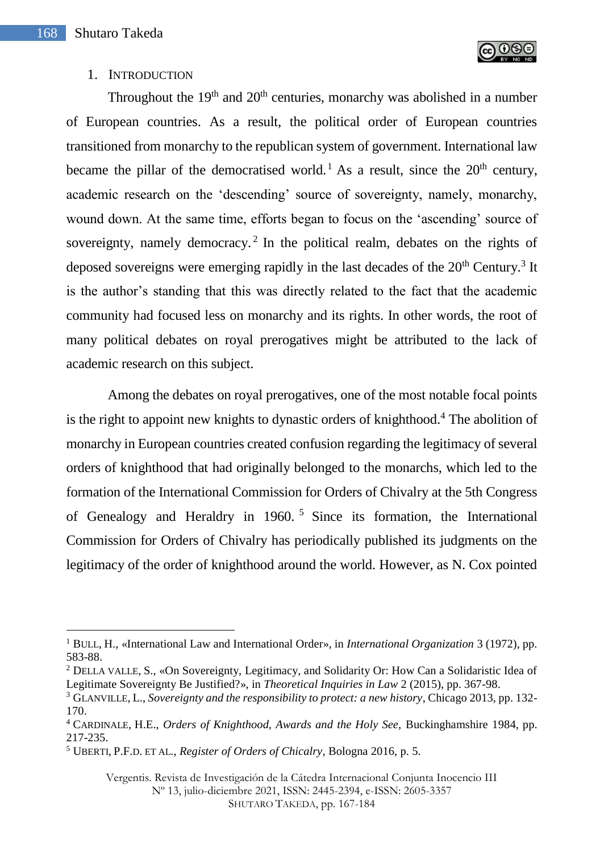$\overline{a}$ 



## 1. INTRODUCTION

Throughout the  $19<sup>th</sup>$  and  $20<sup>th</sup>$  centuries, monarchy was abolished in a number of European countries. As a result, the political order of European countries transitioned from monarchy to the republican system of government. International law became the pillar of the democratised world.<sup>1</sup> As a result, since the  $20<sup>th</sup>$  century, academic research on the 'descending' source of sovereignty, namely, monarchy, wound down. At the same time, efforts began to focus on the 'ascending' source of sovereignty, namely democracy.<sup>2</sup> In the political realm, debates on the rights of deposed sovereigns were emerging rapidly in the last decades of the  $20<sup>th</sup>$  Century.<sup>3</sup> It is the author's standing that this was directly related to the fact that the academic community had focused less on monarchy and its rights. In other words, the root of many political debates on royal prerogatives might be attributed to the lack of academic research on this subject.

Among the debates on royal prerogatives, one of the most notable focal points is the right to appoint new knights to dynastic orders of knighthood.<sup>4</sup> The abolition of monarchy in European countries created confusion regarding the legitimacy of several orders of knighthood that had originally belonged to the monarchs, which led to the formation of the International Commission for Orders of Chivalry at the 5th Congress of Genealogy and Heraldry in 1960. <sup>5</sup> Since its formation, the International Commission for Orders of Chivalry has periodically published its judgments on the legitimacy of the order of knighthood around the world. However, as N. Cox pointed

Vergentis. Revista de Investigación de la Cátedra Internacional Conjunta Inocencio III

Nº 13, julio-diciembre 2021, ISSN: 2445-2394, e-ISSN: 2605-3357

<sup>1</sup> BULL, H., «International Law and International Order», in *International Organization* 3 (1972), pp. 583-88.

<sup>2</sup> DELLA VALLE, S., «On Sovereignty, Legitimacy, and Solidarity Or: How Can a Solidaristic Idea of Legitimate Sovereignty Be Justified?», in *Theoretical Inquiries in Law* 2 (2015), pp. 367-98.

<sup>3</sup> GLANVILLE, L., *Sovereignty and the responsibility to protect: a new history*, Chicago 2013, pp. 132- 170.

<sup>4</sup> CARDINALE, H.E., *Orders of Knighthood, Awards and the Holy See,* Buckinghamshire 1984, pp. 217-235.

<sup>5</sup> UBERTI, P.F.D. ET AL., *Register of Orders of Chicalry*, Bologna 2016, p. 5.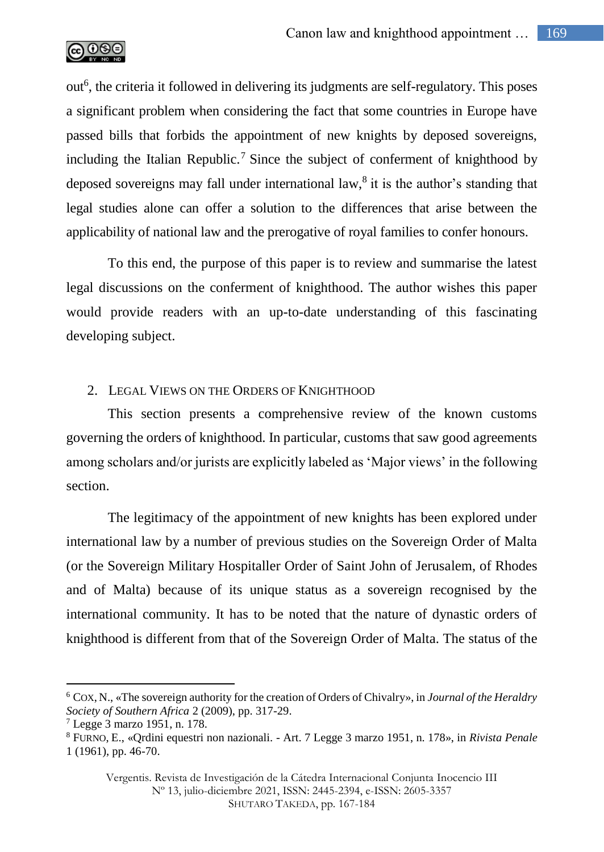

out<sup>6</sup>, the criteria it followed in delivering its judgments are self-regulatory. This poses a significant problem when considering the fact that some countries in Europe have passed bills that forbids the appointment of new knights by deposed sovereigns, including the Italian Republic.<sup>7</sup> Since the subject of conferment of knighthood by deposed sovereigns may fall under international law,<sup>8</sup> it is the author's standing that legal studies alone can offer a solution to the differences that arise between the applicability of national law and the prerogative of royal families to confer honours.

To this end, the purpose of this paper is to review and summarise the latest legal discussions on the conferment of knighthood. The author wishes this paper would provide readers with an up-to-date understanding of this fascinating developing subject.

## 2. LEGAL VIEWS ON THE ORDERS OF KNIGHTHOOD

This section presents a comprehensive review of the known customs governing the orders of knighthood. In particular, customs that saw good agreements among scholars and/or jurists are explicitly labeled as 'Major views' in the following section.

The legitimacy of the appointment of new knights has been explored under international law by a number of previous studies on the Sovereign Order of Malta (or the Sovereign Military Hospitaller Order of Saint John of Jerusalem, of Rhodes and of Malta) because of its unique status as a sovereign recognised by the international community. It has to be noted that the nature of dynastic orders of knighthood is different from that of the Sovereign Order of Malta. The status of the

<sup>6</sup> COX, N., «The sovereign authority for the creation of Orders of Chivalry», in *Journal of the Heraldry Society of Southern Africa* 2 (2009), pp. 317-29.

 $7$  Legge 3 marzo 1951, n. 178.

<sup>8</sup> FURNO, E., «Qrdini equestri non nazionali. - Art. 7 Legge 3 marzo 1951, n. 178», in *Rivista Penale* 1 (1961), pp. 46-70.

Vergentis. Revista de Investigación de la Cátedra Internacional Conjunta Inocencio III Nº 13, julio-diciembre 2021, ISSN: 2445-2394, e-ISSN: 2605-3357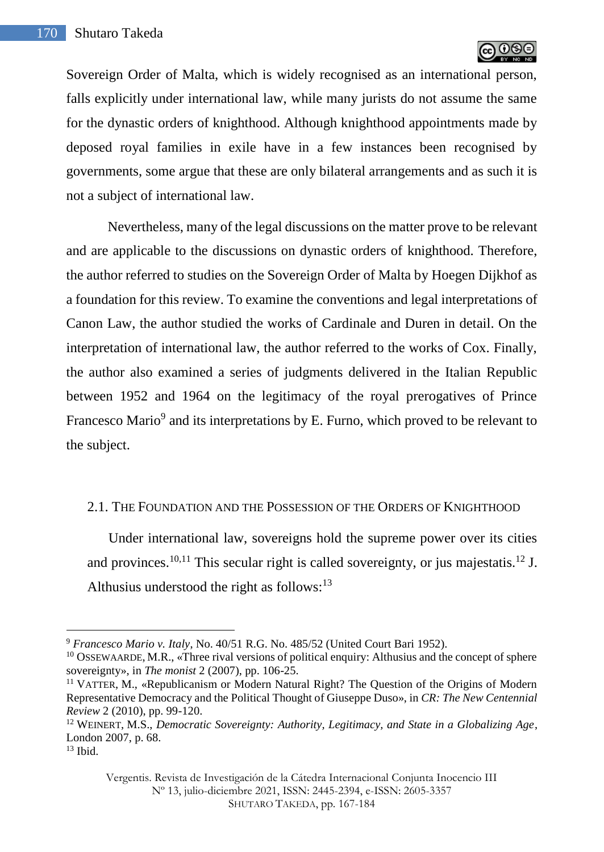

Sovereign Order of Malta, which is widely recognised as an international person, falls explicitly under international law, while many jurists do not assume the same for the dynastic orders of knighthood. Although knighthood appointments made by deposed royal families in exile have in a few instances been recognised by governments, some argue that these are only bilateral arrangements and as such it is not a subject of international law.

Nevertheless, many of the legal discussions on the matter prove to be relevant and are applicable to the discussions on dynastic orders of knighthood. Therefore, the author referred to studies on the Sovereign Order of Malta by Hoegen Dijkhof as a foundation for this review. To examine the conventions and legal interpretations of Canon Law, the author studied the works of Cardinale and Duren in detail. On the interpretation of international law, the author referred to the works of Cox. Finally, the author also examined a series of judgments delivered in the Italian Republic between 1952 and 1964 on the legitimacy of the royal prerogatives of Prince Francesco Mario<sup>9</sup> and its interpretations by E. Furno, which proved to be relevant to the subject.

#### 2.1. THE FOUNDATION AND THE POSSESSION OF THE ORDERS OF KNIGHTHOOD

Under international law, sovereigns hold the supreme power over its cities and provinces.<sup>10,11</sup> This secular right is called sovereignty, or jus majestatis.<sup>12</sup> J. Althusius understood the right as follows: $13$ 

<sup>9</sup> *Francesco Mario v. Italy*, No. 40/51 R.G. No. 485/52 (United Court Bari 1952).

 $10$  OSSEWAARDE, M.R., «Three rival versions of political enquiry: Althusius and the concept of sphere sovereignty», in *The monist* 2 (2007), pp. 106-25.

<sup>&</sup>lt;sup>11</sup> VATTER, M., «Republicanism or Modern Natural Right? The Question of the Origins of Modern Representative Democracy and the Political Thought of Giuseppe Duso», in *CR: The New Centennial Review* 2 (2010), pp. 99-120.

<sup>12</sup> WEINERT, M.S., *Democratic Sovereignty: Authority, Legitimacy, and State in a Globalizing Age*, London 2007, p. 68.

<sup>13</sup> Ibid.

Vergentis. Revista de Investigación de la Cátedra Internacional Conjunta Inocencio III Nº 13, julio-diciembre 2021, ISSN: 2445-2394, e-ISSN: 2605-3357 SHUTARO TAKEDA, pp. 167-184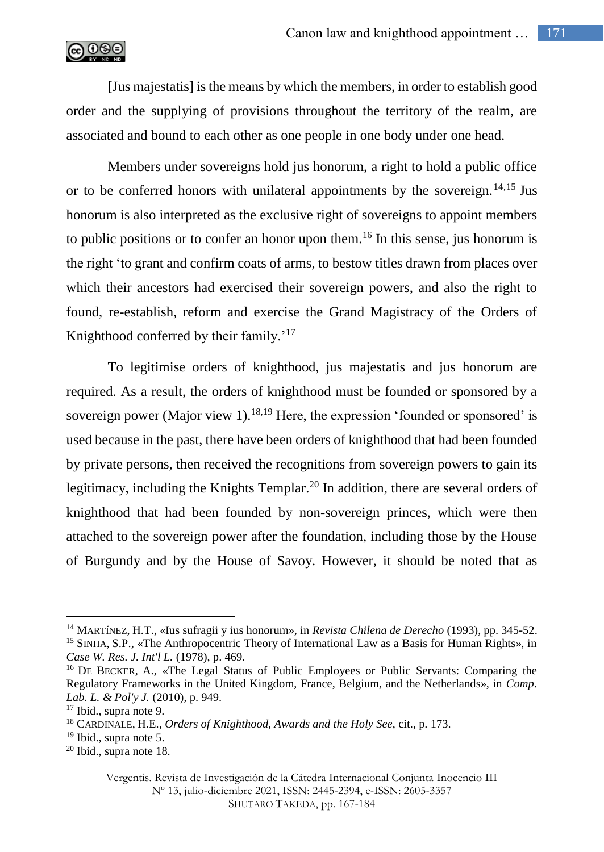

[Jus majestatis] is the means by which the members, in order to establish good order and the supplying of provisions throughout the territory of the realm, are associated and bound to each other as one people in one body under one head.

Members under sovereigns hold jus honorum, a right to hold a public office or to be conferred honors with unilateral appointments by the sovereign.<sup>14,15</sup> Jus honorum is also interpreted as the exclusive right of sovereigns to appoint members to public positions or to confer an honor upon them.<sup>16</sup> In this sense, jus honorum is the right 'to grant and confirm coats of arms, to bestow titles drawn from places over which their ancestors had exercised their sovereign powers, and also the right to found, re-establish, reform and exercise the Grand Magistracy of the Orders of Knighthood conferred by their family.<sup>'17</sup>

To legitimise orders of knighthood, jus majestatis and jus honorum are required. As a result, the orders of knighthood must be founded or sponsored by a sovereign power (Major view 1).<sup>18,19</sup> Here, the expression 'founded or sponsored' is used because in the past, there have been orders of knighthood that had been founded by private persons, then received the recognitions from sovereign powers to gain its legitimacy, including the Knights Templar.<sup>20</sup> In addition, there are several orders of knighthood that had been founded by non-sovereign princes, which were then attached to the sovereign power after the foundation, including those by the House of Burgundy and by the House of Savoy. However, it should be noted that as

<sup>14</sup> MARTÍNEZ, H.T., «Ius sufragii y ius honorum», in *Revista Chilena de Derecho* (1993), pp. 345-52. <sup>15</sup> SINHA, S.P., «The Anthropocentric Theory of International Law as a Basis for Human Rights», in *Case W. Res. J. Int'l L.* (1978), p. 469.

<sup>&</sup>lt;sup>16</sup> DE BECKER, A., «The Legal Status of Public Employees or Public Servants: Comparing the Regulatory Frameworks in the United Kingdom, France, Belgium, and the Netherlands», in *Comp. Lab. L. & Pol'y J.* (2010), p. 949.

 $17$  Ibid., supra note 9.

<sup>18</sup> CARDINALE, H.E., *Orders of Knighthood, Awards and the Holy See*, cit., p. 173.

<sup>&</sup>lt;sup>19</sup> Ibid., supra note 5.

 $20$  Ibid., supra note 18.

Vergentis. Revista de Investigación de la Cátedra Internacional Conjunta Inocencio III Nº 13, julio-diciembre 2021, ISSN: 2445-2394, e-ISSN: 2605-3357 SHUTARO TAKEDA, pp. 167-184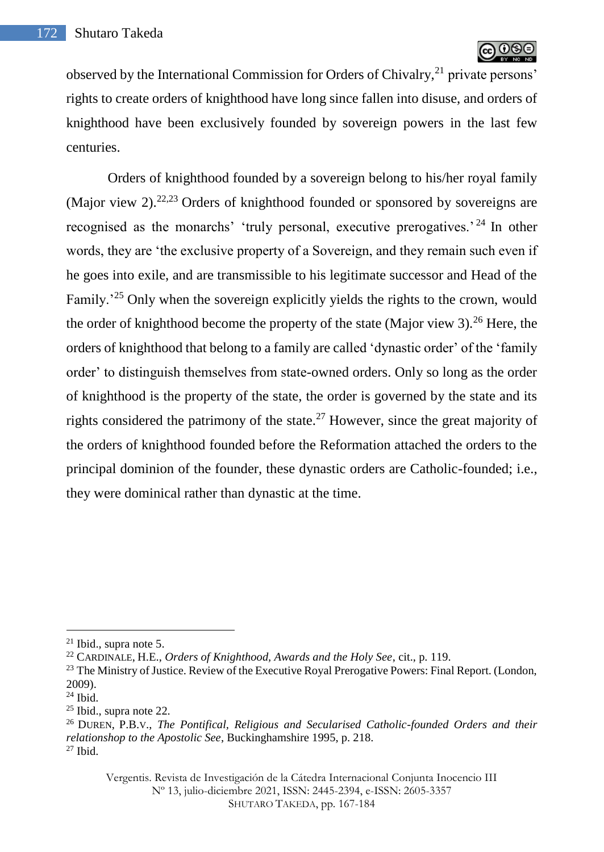observed by the International Commission for Orders of Chivalry,<sup>21</sup> private persons' rights to create orders of knighthood have long since fallen into disuse, and orders of knighthood have been exclusively founded by sovereign powers in the last few centuries.

Orders of knighthood founded by a sovereign belong to his/her royal family (Major view 2).<sup>22,23</sup> Orders of knighthood founded or sponsored by sovereigns are recognised as the monarchs' 'truly personal, executive prerogatives.' <sup>24</sup> In other words, they are 'the exclusive property of a Sovereign, and they remain such even if he goes into exile, and are transmissible to his legitimate successor and Head of the Family.<sup>25</sup> Only when the sovereign explicitly yields the rights to the crown, would the order of knighthood become the property of the state (Major view 3).<sup>26</sup> Here, the orders of knighthood that belong to a family are called 'dynastic order' of the 'family order' to distinguish themselves from state-owned orders. Only so long as the order of knighthood is the property of the state, the order is governed by the state and its rights considered the patrimony of the state.<sup>27</sup> However, since the great majority of the orders of knighthood founded before the Reformation attached the orders to the principal dominion of the founder, these dynastic orders are Catholic-founded; i.e., they were dominical rather than dynastic at the time.

 $\overline{a}$ 

Vergentis. Revista de Investigación de la Cátedra Internacional Conjunta Inocencio III Nº 13, julio-diciembre 2021, ISSN: 2445-2394, e-ISSN: 2605-3357 SHUTARO TAKEDA, pp. 167-184

 $21$  Ibid., supra note 5.

<sup>22</sup> CARDINALE, H.E., *Orders of Knighthood, Awards and the Holy See*, cit., p. 119.

<sup>&</sup>lt;sup>23</sup> The Ministry of Justice. Review of the Executive Royal Prerogative Powers: Final Report. (London, 2009).

<sup>24</sup> Ibid.

 $25$  Ibid., supra note 22.

<sup>26</sup> DUREN, P.B.V., *The Pontifical, Religious and Secularised Catholic-founded Orders and their relationshop to the Apostolic See*, Buckinghamshire 1995, p. 218. <sup>27</sup> Ibid.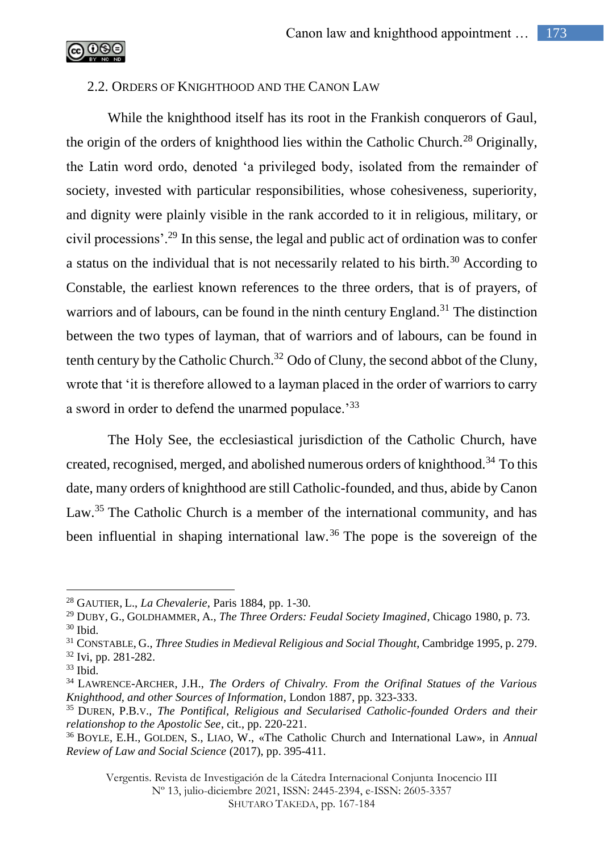

## 2.2. ORDERS OF KNIGHTHOOD AND THE CANON LAW

While the knighthood itself has its root in the Frankish conquerors of Gaul, the origin of the orders of knighthood lies within the Catholic Church.<sup>28</sup> Originally, the Latin word ordo, denoted 'a privileged body, isolated from the remainder of society, invested with particular responsibilities, whose cohesiveness, superiority, and dignity were plainly visible in the rank accorded to it in religious, military, or civil processions'.<sup>29</sup> In this sense, the legal and public act of ordination was to confer a status on the individual that is not necessarily related to his birth.<sup>30</sup> According to Constable, the earliest known references to the three orders, that is of prayers, of warriors and of labours, can be found in the ninth century England.<sup>31</sup> The distinction between the two types of layman, that of warriors and of labours, can be found in tenth century by the Catholic Church.<sup>32</sup> Odo of Cluny, the second abbot of the Cluny, wrote that 'it is therefore allowed to a layman placed in the order of warriors to carry a sword in order to defend the unarmed populace.<sup>'33</sup>

The Holy See, the ecclesiastical jurisdiction of the Catholic Church, have created, recognised, merged, and abolished numerous orders of knighthood.<sup>34</sup> To this date, many orders of knighthood are still Catholic-founded, and thus, abide by Canon Law.<sup>35</sup> The Catholic Church is a member of the international community, and has been influential in shaping international law.<sup>36</sup> The pope is the sovereign of the

 $\overline{a}$ 

Vergentis. Revista de Investigación de la Cátedra Internacional Conjunta Inocencio III

Nº 13, julio-diciembre 2021, ISSN: 2445-2394, e-ISSN: 2605-3357

<sup>28</sup> GAUTIER, L., *La Chevalerie*, Paris 1884, pp. 1-30.

<sup>29</sup> DUBY, G., GOLDHAMMER, A., *The Three Orders: Feudal Society Imagined*, Chicago 1980, p. 73.  $30$  Ibid.

<sup>31</sup> CONSTABLE, G., *Three Studies in Medieval Religious and Social Thought*, Cambridge 1995, p. 279. <sup>32</sup> Ivi, pp. 281-282.

<sup>33</sup> Ibid.

<sup>34</sup> LAWRENCE-ARCHER, J.H., *The Orders of Chivalry. From the Orifinal Statues of the Various Knighthood, and other Sources of Information*, London 1887, pp. 323-333.

<sup>35</sup> DUREN, P.B.V., *The Pontifical, Religious and Secularised Catholic-founded Orders and their relationshop to the Apostolic See*, cit., pp. 220-221.

<sup>36</sup> BOYLE, E.H., GOLDEN, S., LIAO, W., «The Catholic Church and International Law», in *Annual Review of Law and Social Science* (2017), pp. 395-411.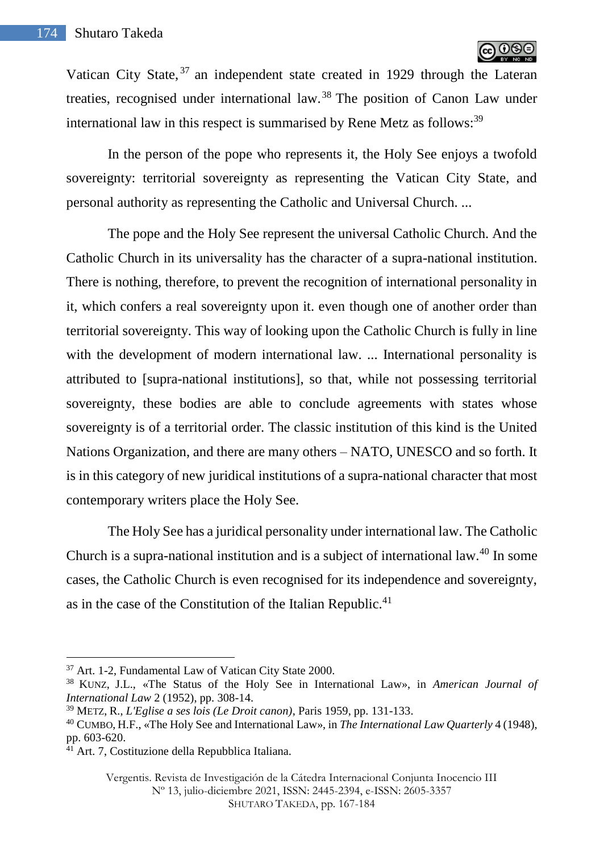

Vatican City State, <sup>37</sup> an independent state created in 1929 through the Lateran treaties, recognised under international law.<sup>38</sup> The position of Canon Law under international law in this respect is summarised by Rene Metz as follows: $39$ 

In the person of the pope who represents it, the Holy See enjoys a twofold sovereignty: territorial sovereignty as representing the Vatican City State, and personal authority as representing the Catholic and Universal Church. ...

The pope and the Holy See represent the universal Catholic Church. And the Catholic Church in its universality has the character of a supra-national institution. There is nothing, therefore, to prevent the recognition of international personality in it, which confers a real sovereignty upon it. even though one of another order than territorial sovereignty. This way of looking upon the Catholic Church is fully in line with the development of modern international law. ... International personality is attributed to [supra-national institutions], so that, while not possessing territorial sovereignty, these bodies are able to conclude agreements with states whose sovereignty is of a territorial order. The classic institution of this kind is the United Nations Organization, and there are many others – NATO, UNESCO and so forth. It is in this category of new juridical institutions of a supra-national character that most contemporary writers place the Holy See.

The Holy See has a juridical personality under international law. The Catholic Church is a supra-national institution and is a subject of international law.<sup>40</sup> In some cases, the Catholic Church is even recognised for its independence and sovereignty, as in the case of the Constitution of the Italian Republic.<sup>41</sup>

 $\overline{a}$ 

Vergentis. Revista de Investigación de la Cátedra Internacional Conjunta Inocencio III Nº 13, julio-diciembre 2021, ISSN: 2445-2394, e-ISSN: 2605-3357 SHUTARO TAKEDA, pp. 167-184

<sup>37</sup> Art. 1-2, Fundamental Law of Vatican City State 2000.

<sup>38</sup> KUNZ, J.L., «The Status of the Holy See in International Law», in *American Journal of International Law* 2 (1952), pp. 308-14.

<sup>39</sup> METZ, R., *L'Eglise a ses lois (Le Droit canon)*, Paris 1959, pp. 131-133.

<sup>40</sup> CUMBO, H.F., «The Holy See and International Law», in *The International Law Quarterly* 4 (1948), pp. 603-620.

 $4\overline{1}$  Art. 7, Costituzione della Repubblica Italiana.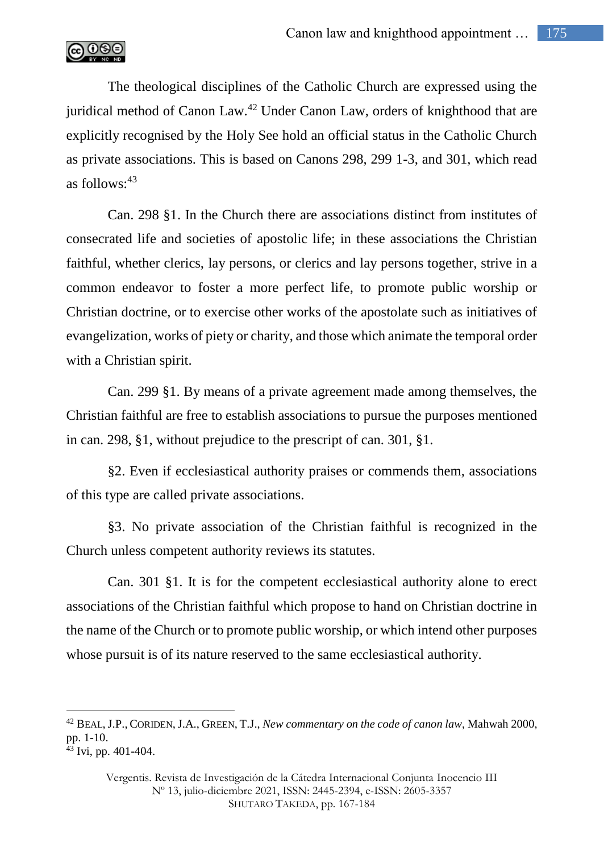

The theological disciplines of the Catholic Church are expressed using the juridical method of Canon Law.<sup>42</sup> Under Canon Law, orders of knighthood that are explicitly recognised by the Holy See hold an official status in the Catholic Church as private associations. This is based on Canons 298, 299 1-3, and 301, which read as follows: $43$ 

Can. 298 §1. In the Church there are associations distinct from institutes of consecrated life and societies of apostolic life; in these associations the Christian faithful, whether clerics, lay persons, or clerics and lay persons together, strive in a common endeavor to foster a more perfect life, to promote public worship or Christian doctrine, or to exercise other works of the apostolate such as initiatives of evangelization, works of piety or charity, and those which animate the temporal order with a Christian spirit.

Can. 299 §1. By means of a private agreement made among themselves, the Christian faithful are free to establish associations to pursue the purposes mentioned in can. 298, §1, without prejudice to the prescript of can. 301, §1.

§2. Even if ecclesiastical authority praises or commends them, associations of this type are called private associations.

§3. No private association of the Christian faithful is recognized in the Church unless competent authority reviews its statutes.

Can. 301 §1. It is for the competent ecclesiastical authority alone to erect associations of the Christian faithful which propose to hand on Christian doctrine in the name of the Church or to promote public worship, or which intend other purposes whose pursuit is of its nature reserved to the same ecclesiastical authority.

<sup>42</sup> BEAL,J.P., CORIDEN,J.A., GREEN, T.J., *New commentary on the code of canon law*, Mahwah 2000, pp. 1-10.

<sup>43</sup> Ivi, pp. 401-404.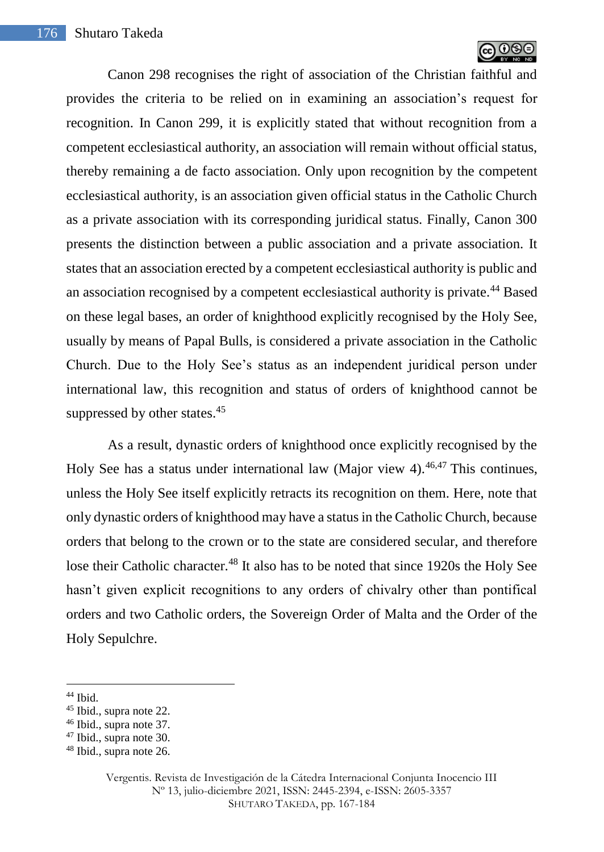

Canon 298 recognises the right of association of the Christian faithful and provides the criteria to be relied on in examining an association's request for recognition. In Canon 299, it is explicitly stated that without recognition from a competent ecclesiastical authority, an association will remain without official status, thereby remaining a de facto association. Only upon recognition by the competent ecclesiastical authority, is an association given official status in the Catholic Church as a private association with its corresponding juridical status. Finally, Canon 300 presents the distinction between a public association and a private association. It states that an association erected by a competent ecclesiastical authority is public and an association recognised by a competent ecclesiastical authority is private.<sup>44</sup> Based on these legal bases, an order of knighthood explicitly recognised by the Holy See, usually by means of Papal Bulls, is considered a private association in the Catholic Church. Due to the Holy See's status as an independent juridical person under international law, this recognition and status of orders of knighthood cannot be suppressed by other states.<sup>45</sup>

As a result, dynastic orders of knighthood once explicitly recognised by the Holy See has a status under international law (Major view 4).<sup>46,47</sup> This continues, unless the Holy See itself explicitly retracts its recognition on them. Here, note that only dynastic orders of knighthood may have a status in the Catholic Church, because orders that belong to the crown or to the state are considered secular, and therefore lose their Catholic character.<sup>48</sup> It also has to be noted that since 1920s the Holy See hasn't given explicit recognitions to any orders of chivalry other than pontifical orders and two Catholic orders, the Sovereign Order of Malta and the Order of the Holy Sepulchre.

<sup>44</sup> Ibid.

<sup>45</sup> Ibid., supra note 22.

<sup>46</sup> Ibid., supra note 37.

<sup>47</sup> Ibid., supra note 30.

<sup>48</sup> Ibid., supra note 26.

Vergentis. Revista de Investigación de la Cátedra Internacional Conjunta Inocencio III Nº 13, julio-diciembre 2021, ISSN: 2445-2394, e-ISSN: 2605-3357 SHUTARO TAKEDA, pp. 167-184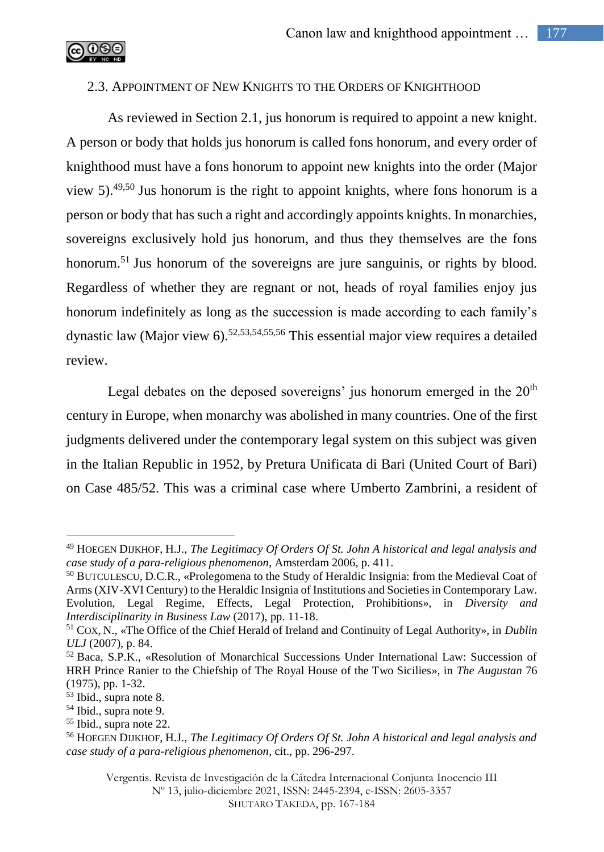

# 2.3. APPOINTMENT OF NEW KNIGHTS TO THE ORDERS OF KNIGHTHOOD

As reviewed in Section 2.1, jus honorum is required to appoint a new knight. A person or body that holds jus honorum is called fons honorum, and every order of knighthood must have a fons honorum to appoint new knights into the order (Major view 5).<sup>49,50</sup> Jus honorum is the right to appoint knights, where fons honorum is a person or body that has such a right and accordingly appoints knights. In monarchies, sovereigns exclusively hold jus honorum, and thus they themselves are the fons honorum.<sup>51</sup> Jus honorum of the sovereigns are jure sanguinis, or rights by blood. Regardless of whether they are regnant or not, heads of royal families enjoy jus honorum indefinitely as long as the succession is made according to each family's dynastic law (Major view 6).<sup>52,53,54,55,56</sup> This essential major view requires a detailed review.

Legal debates on the deposed sovereigns' jus honorum emerged in the  $20<sup>th</sup>$ century in Europe, when monarchy was abolished in many countries. One of the first judgments delivered under the contemporary legal system on this subject was given in the Italian Republic in 1952, by Pretura Unificata di Bari (United Court of Bari) on Case 485/52. This was a criminal case where Umberto Zambrini, a resident of

<sup>49</sup> HOEGEN DIJKHOF, H.J., *The Legitimacy Of Orders Of St. John A historical and legal analysis and case study of a para-religious phenomenon*, Amsterdam 2006, p. 411.

<sup>50</sup> BUTCULESCU, D.C.R., «Prolegomena to the Study of Heraldic Insignia: from the Medieval Coat of Arms (XIV-XVI Century) to the Heraldic Insignia of Institutions and Societies in Contemporary Law. Evolution, Legal Regime, Effects, Legal Protection, Prohibitions», in *Diversity and Interdisciplinarity in Business Law* (2017), pp. 11-18.

<sup>51</sup> COX, N., «The Office of the Chief Herald of Ireland and Continuity of Legal Authority», in *Dublin ULJ* (2007), p. 84.

 $52$  Baca, S.P.K., «Resolution of Monarchical Successions Under International Law: Succession of HRH Prince Ranier to the Chiefship of The Royal House of the Two Sicilies», in *The Augustan* 76 (1975), pp. 1-32.

<sup>53</sup> Ibid., supra note 8.

<sup>54</sup> Ibid., supra note 9.

<sup>55</sup> Ibid., supra note 22.

<sup>56</sup> HOEGEN DIJKHOF, H.J., *The Legitimacy Of Orders Of St. John A historical and legal analysis and case study of a para-religious phenomenon*, cit., pp. 296-297.

Vergentis. Revista de Investigación de la Cátedra Internacional Conjunta Inocencio III Nº 13, julio-diciembre 2021, ISSN: 2445-2394, e-ISSN: 2605-3357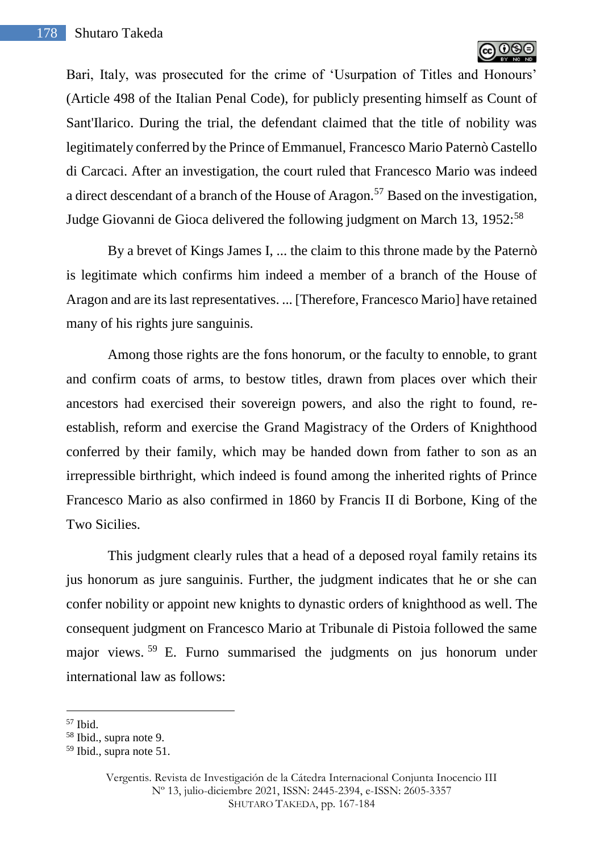

Bari, Italy, was prosecuted for the crime of 'Usurpation of Titles and Honours' (Article 498 of the Italian Penal Code), for publicly presenting himself as Count of Sant'Ilarico. During the trial, the defendant claimed that the title of nobility was legitimately conferred by the Prince of Emmanuel, Francesco Mario Paternò Castello di Carcaci. After an investigation, the court ruled that Francesco Mario was indeed a direct descendant of a branch of the House of Aragon.<sup>57</sup> Based on the investigation. Judge Giovanni de Gioca delivered the following judgment on March 13, 1952:<sup>58</sup>

By a brevet of Kings James I, ... the claim to this throne made by the Paternò is legitimate which confirms him indeed a member of a branch of the House of Aragon and are its last representatives. ... [Therefore, Francesco Mario] have retained many of his rights jure sanguinis.

Among those rights are the fons honorum, or the faculty to ennoble, to grant and confirm coats of arms, to bestow titles, drawn from places over which their ancestors had exercised their sovereign powers, and also the right to found, reestablish, reform and exercise the Grand Magistracy of the Orders of Knighthood conferred by their family, which may be handed down from father to son as an irrepressible birthright, which indeed is found among the inherited rights of Prince Francesco Mario as also confirmed in 1860 by Francis II di Borbone, King of the Two Sicilies.

This judgment clearly rules that a head of a deposed royal family retains its jus honorum as jure sanguinis. Further, the judgment indicates that he or she can confer nobility or appoint new knights to dynastic orders of knighthood as well. The consequent judgment on Francesco Mario at Tribunale di Pistoia followed the same major views. <sup>59</sup> E. Furno summarised the judgments on jus honorum under international law as follows:

<sup>57</sup> Ibid.

<sup>58</sup> Ibid., supra note 9.

<sup>59</sup> Ibid., supra note 51.

Vergentis. Revista de Investigación de la Cátedra Internacional Conjunta Inocencio III Nº 13, julio-diciembre 2021, ISSN: 2445-2394, e-ISSN: 2605-3357 SHUTARO TAKEDA, pp. 167-184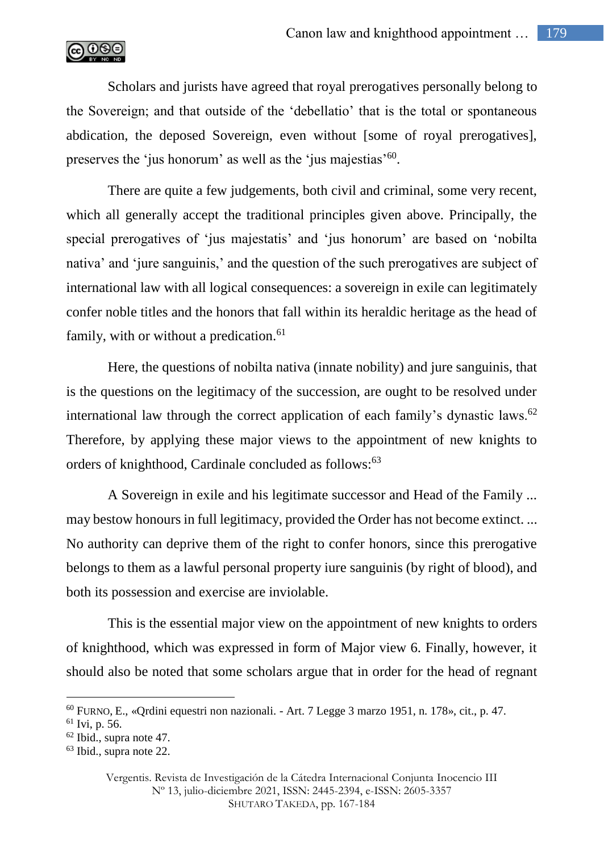

Scholars and jurists have agreed that royal prerogatives personally belong to the Sovereign; and that outside of the 'debellatio' that is the total or spontaneous abdication, the deposed Sovereign, even without [some of royal prerogatives], preserves the 'jus honorum' as well as the 'jus majestias'<sup>60</sup>.

There are quite a few judgements, both civil and criminal, some very recent, which all generally accept the traditional principles given above. Principally, the special prerogatives of 'jus majestatis' and 'jus honorum' are based on 'nobilta nativa' and 'jure sanguinis,' and the question of the such prerogatives are subject of international law with all logical consequences: a sovereign in exile can legitimately confer noble titles and the honors that fall within its heraldic heritage as the head of family, with or without a predication. $61$ 

Here, the questions of nobilta nativa (innate nobility) and jure sanguinis, that is the questions on the legitimacy of the succession, are ought to be resolved under international law through the correct application of each family's dynastic laws.<sup>62</sup> Therefore, by applying these major views to the appointment of new knights to orders of knighthood, Cardinale concluded as follows:<sup>63</sup>

A Sovereign in exile and his legitimate successor and Head of the Family ... may bestow honours in full legitimacy, provided the Order has not become extinct. ... No authority can deprive them of the right to confer honors, since this prerogative belongs to them as a lawful personal property iure sanguinis (by right of blood), and both its possession and exercise are inviolable.

This is the essential major view on the appointment of new knights to orders of knighthood, which was expressed in form of Major view 6. Finally, however, it should also be noted that some scholars argue that in order for the head of regnant

<sup>60</sup> FURNO, E., «Qrdini equestri non nazionali. - Art. 7 Legge 3 marzo 1951, n. 178», cit., p. 47.

<sup>61</sup> Ivi, p. 56.

<sup>62</sup> Ibid., supra note 47.

<sup>63</sup> Ibid., supra note 22.

Vergentis. Revista de Investigación de la Cátedra Internacional Conjunta Inocencio III Nº 13, julio-diciembre 2021, ISSN: 2445-2394, e-ISSN: 2605-3357 SHUTARO TAKEDA, pp. 167-184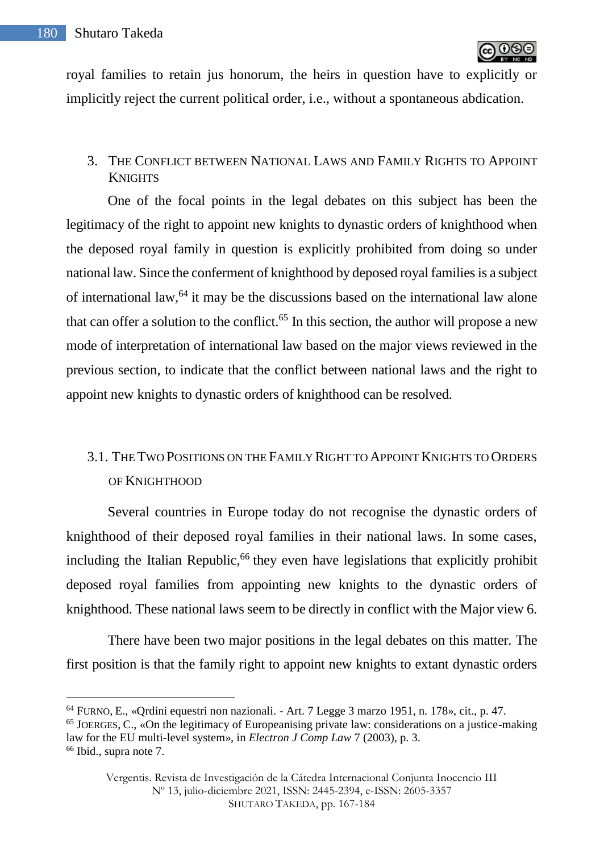royal families to retain jus honorum, the heirs in question have to explicitly or implicitly reject the current political order, i.e., without a spontaneous abdication.

## 3. THE CONFLICT BETWEEN NATIONAL LAWS AND FAMILY RIGHTS TO APPOINT **KNIGHTS**

One of the focal points in the legal debates on this subject has been the legitimacy of the right to appoint new knights to dynastic orders of knighthood when the deposed royal family in question is explicitly prohibited from doing so under national law. Since the conferment of knighthood by deposed royal families is a subject of international law,  $64$  it may be the discussions based on the international law alone that can offer a solution to the conflict.<sup>65</sup> In this section, the author will propose a new mode of interpretation of international law based on the major views reviewed in the previous section, to indicate that the conflict between national laws and the right to appoint new knights to dynastic orders of knighthood can be resolved.

# 3.1. THE TWO POSITIONS ON THE FAMILY RIGHT TO APPOINT KNIGHTS TO ORDERS OF KNIGHTHOOD

Several countries in Europe today do not recognise the dynastic orders of knighthood of their deposed royal families in their national laws. In some cases, including the Italian Republic,<sup>66</sup> they even have legislations that explicitly prohibit deposed royal families from appointing new knights to the dynastic orders of knighthood. These national laws seem to be directly in conflict with the Major view 6.

There have been two major positions in the legal debates on this matter. The first position is that the family right to appoint new knights to extant dynastic orders

<sup>64</sup> FURNO, E., «Qrdini equestri non nazionali. - Art. 7 Legge 3 marzo 1951, n. 178», cit., p. 47.

<sup>&</sup>lt;sup>65</sup> JOERGES, C., «On the legitimacy of Europeanising private law: considerations on a justice-making law for the EU multi-level system», in *Electron J Comp Law* 7 (2003), p. 3.

<sup>66</sup> Ibid., supra note 7.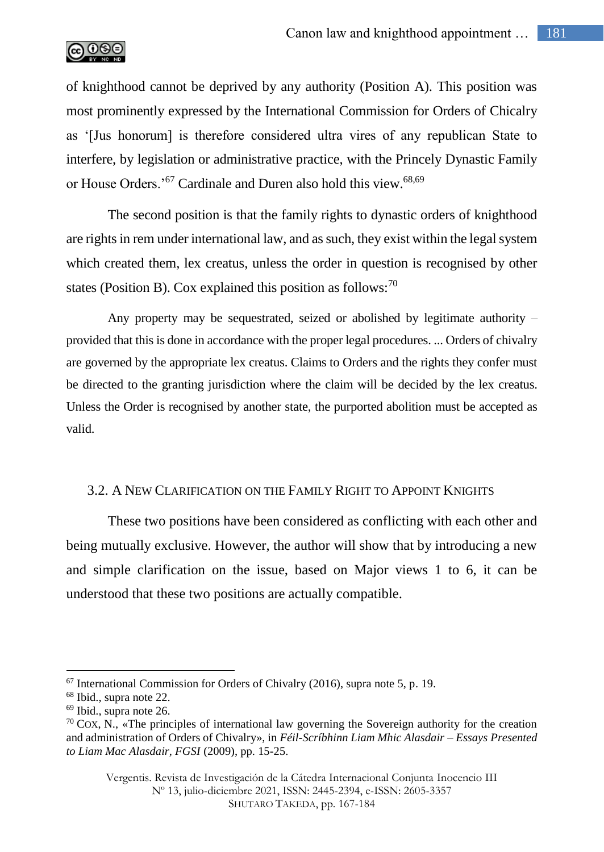

of knighthood cannot be deprived by any authority (Position A). This position was most prominently expressed by the International Commission for Orders of Chicalry as '[Jus honorum] is therefore considered ultra vires of any republican State to interfere, by legislation or administrative practice, with the Princely Dynastic Family or House Orders.'<sup>67</sup> Cardinale and Duren also hold this view.<sup>68,69</sup>

The second position is that the family rights to dynastic orders of knighthood are rights in rem under international law, and as such, they exist within the legal system which created them, lex creatus, unless the order in question is recognised by other states (Position B). Cox explained this position as follows: $70$ 

Any property may be sequestrated, seized or abolished by legitimate authority – provided that this is done in accordance with the proper legal procedures. ... Orders of chivalry are governed by the appropriate lex creatus. Claims to Orders and the rights they confer must be directed to the granting jurisdiction where the claim will be decided by the lex creatus. Unless the Order is recognised by another state, the purported abolition must be accepted as valid.

## 3.2. A NEW CLARIFICATION ON THE FAMILY RIGHT TO APPOINT KNIGHTS

These two positions have been considered as conflicting with each other and being mutually exclusive. However, the author will show that by introducing a new and simple clarification on the issue, based on Major views 1 to 6, it can be understood that these two positions are actually compatible.

 $67$  International Commission for Orders of Chivalry (2016), supra note 5, p. 19.

<sup>68</sup> Ibid., supra note 22.

 $69$  Ibid., supra note 26.

 $70 \text{ Cox}$ , N., «The principles of international law governing the Sovereign authority for the creation and administration of Orders of Chivalry», in *Féil-Scríbhinn Liam Mhic Alasdair – Essays Presented to Liam Mac Alasdair, FGSI* (2009), pp. 15-25.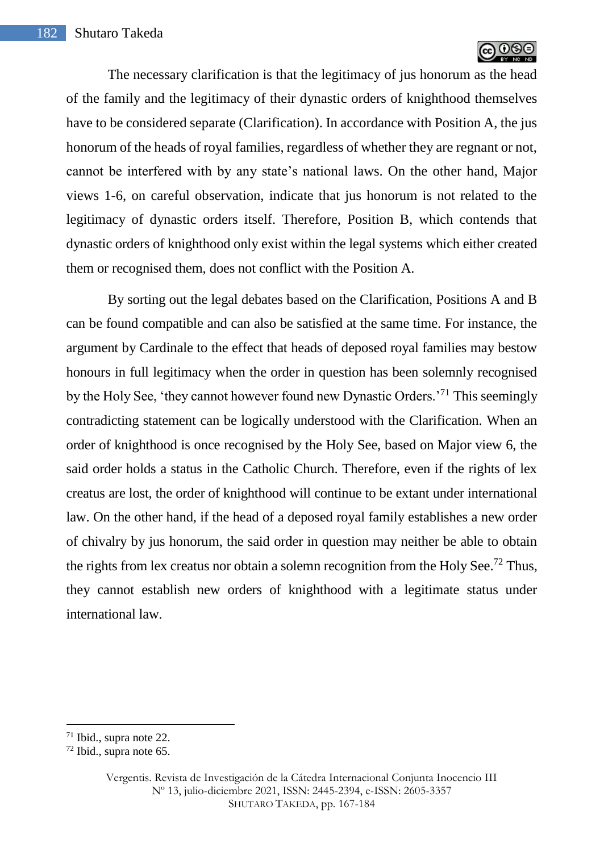

The necessary clarification is that the legitimacy of jus honorum as the head of the family and the legitimacy of their dynastic orders of knighthood themselves have to be considered separate (Clarification). In accordance with Position A, the jus honorum of the heads of royal families, regardless of whether they are regnant or not, cannot be interfered with by any state's national laws. On the other hand, Major views 1-6, on careful observation, indicate that jus honorum is not related to the legitimacy of dynastic orders itself. Therefore, Position B, which contends that dynastic orders of knighthood only exist within the legal systems which either created them or recognised them, does not conflict with the Position A.

By sorting out the legal debates based on the Clarification, Positions A and B can be found compatible and can also be satisfied at the same time. For instance, the argument by Cardinale to the effect that heads of deposed royal families may bestow honours in full legitimacy when the order in question has been solemnly recognised by the Holy See, 'they cannot however found new Dynastic Orders.'<sup>71</sup> This seemingly contradicting statement can be logically understood with the Clarification. When an order of knighthood is once recognised by the Holy See, based on Major view 6, the said order holds a status in the Catholic Church. Therefore, even if the rights of lex creatus are lost, the order of knighthood will continue to be extant under international law. On the other hand, if the head of a deposed royal family establishes a new order of chivalry by jus honorum, the said order in question may neither be able to obtain the rights from lex creatus nor obtain a solemn recognition from the Holy See.<sup>72</sup> Thus, they cannot establish new orders of knighthood with a legitimate status under international law.

 $71$  Ibid., supra note 22.

<sup>72</sup> Ibid., supra note 65.

Vergentis. Revista de Investigación de la Cátedra Internacional Conjunta Inocencio III Nº 13, julio-diciembre 2021, ISSN: 2445-2394, e-ISSN: 2605-3357 SHUTARO TAKEDA, pp. 167-184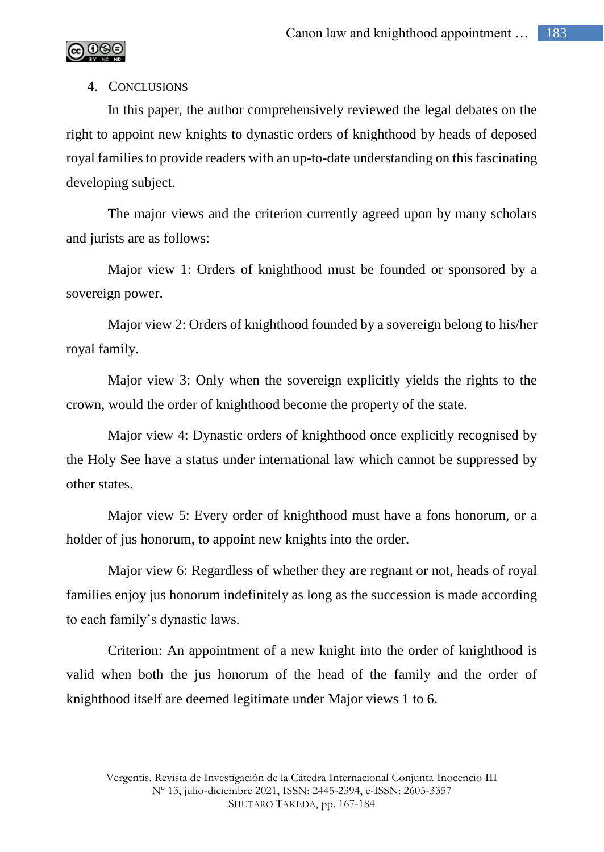

### 4. CONCLUSIONS

In this paper, the author comprehensively reviewed the legal debates on the right to appoint new knights to dynastic orders of knighthood by heads of deposed royal families to provide readers with an up-to-date understanding on this fascinating developing subject.

The major views and the criterion currently agreed upon by many scholars and jurists are as follows:

Major view 1: Orders of knighthood must be founded or sponsored by a sovereign power.

Major view 2: Orders of knighthood founded by a sovereign belong to his/her royal family.

Major view 3: Only when the sovereign explicitly yields the rights to the crown, would the order of knighthood become the property of the state.

Major view 4: Dynastic orders of knighthood once explicitly recognised by the Holy See have a status under international law which cannot be suppressed by other states.

Major view 5: Every order of knighthood must have a fons honorum, or a holder of jus honorum, to appoint new knights into the order.

Major view 6: Regardless of whether they are regnant or not, heads of royal families enjoy jus honorum indefinitely as long as the succession is made according to each family's dynastic laws.

Criterion: An appointment of a new knight into the order of knighthood is valid when both the jus honorum of the head of the family and the order of knighthood itself are deemed legitimate under Major views 1 to 6.